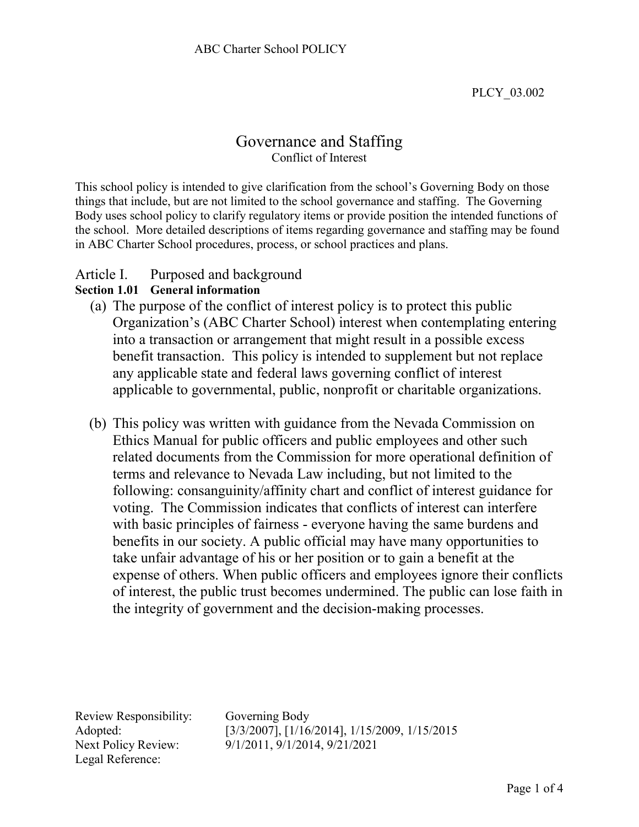PLCY\_03.002

# Governance and Staffing Conflict of Interest

This school policy is intended to give clarification from the school's Governing Body on those things that include, but are not limited to the school governance and staffing. The Governing Body uses school policy to clarify regulatory items or provide position the intended functions of the school. More detailed descriptions of items regarding governance and staffing may be found in ABC Charter School procedures, process, or school practices and plans.

## Article I. Purposed and background

### **Section 1.01 General information**

- (a) The purpose of the conflict of interest policy is to protect this public Organization's (ABC Charter School) interest when contemplating entering into a transaction or arrangement that might result in a possible excess benefit transaction. This policy is intended to supplement but not replace any applicable state and federal laws governing conflict of interest applicable to governmental, public, nonprofit or charitable organizations.
- (b) This policy was written with guidance from the Nevada Commission on Ethics Manual for public officers and public employees and other such related documents from the Commission for more operational definition of terms and relevance to Nevada Law including, but not limited to the following: consanguinity/affinity chart and conflict of interest guidance for voting. The Commission indicates that conflicts of interest can interfere with basic principles of fairness - everyone having the same burdens and benefits in our society. A public official may have many opportunities to take unfair advantage of his or her position or to gain a benefit at the expense of others. When public officers and employees ignore their conflicts of interest, the public trust becomes undermined. The public can lose faith in the integrity of government and the decision-making processes.

Review Responsibility: Governing Body Legal Reference:

Adopted: [3/3/2007], [1/16/2014], 1/15/2009, 1/15/2015 Next Policy Review: 9/1/2011, 9/1/2014, 9/21/2021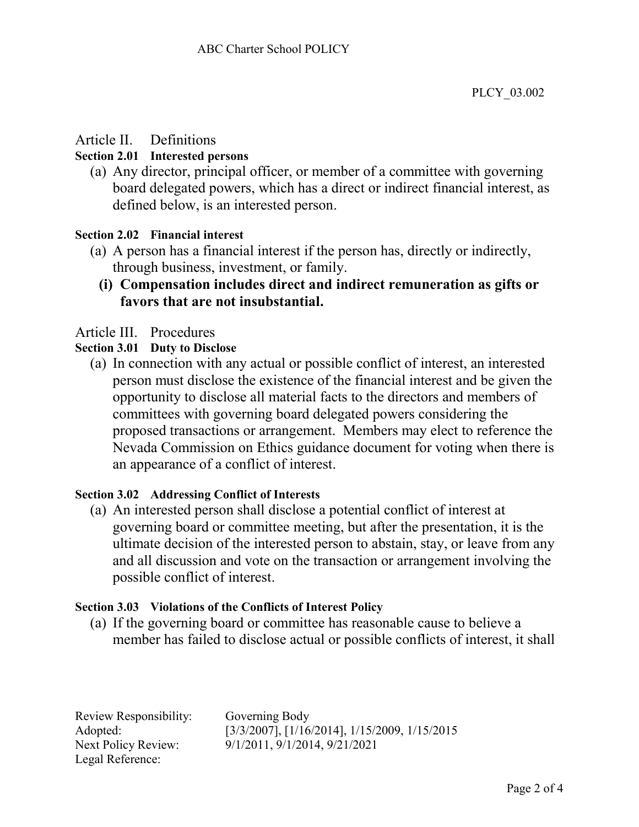# Article II. Definitions

## **Section 2.01 Interested persons**

(a) Any director, principal officer, or member of a committee with governing board delegated powers, which has a direct or indirect financial interest, as defined below, is an interested person.

## **Section 2.02 Financial interest**

- (a) A person has a financial interest if the person has, directly or indirectly, through business, investment, or family.
	- **(i) Compensation includes direct and indirect remuneration as gifts or favors that are not insubstantial.**

# Article III. Procedures

### **Section 3.01 Duty to Disclose**

(a) In connection with any actual or possible conflict of interest, an interested person must disclose the existence of the financial interest and be given the opportunity to disclose all material facts to the directors and members of committees with governing board delegated powers considering the proposed transactions or arrangement. Members may elect to reference the Nevada Commission on Ethics guidance document for voting when there is an appearance of a conflict of interest.

### **Section 3.02 Addressing Conflict of Interests**

(a) An interested person shall disclose a potential conflict of interest at governing board or committee meeting, but after the presentation, it is the ultimate decision of the interested person to abstain, stay, or leave from any and all discussion and vote on the transaction or arrangement involving the possible conflict of interest.

### **Section 3.03 Violations of the Conflicts of Interest Policy**

(a) If the governing board or committee has reasonable cause to believe a member has failed to disclose actual or possible conflicts of interest, it shall

| Review Responsibility:     |
|----------------------------|
| Adopted:                   |
| <b>Next Policy Review:</b> |
| Legal Reference:           |

Governing Body Adopted: [3/3/2007], [1/16/2014], 1/15/2009, 1/15/2015 9/1/2011, 9/1/2014, 9/21/2021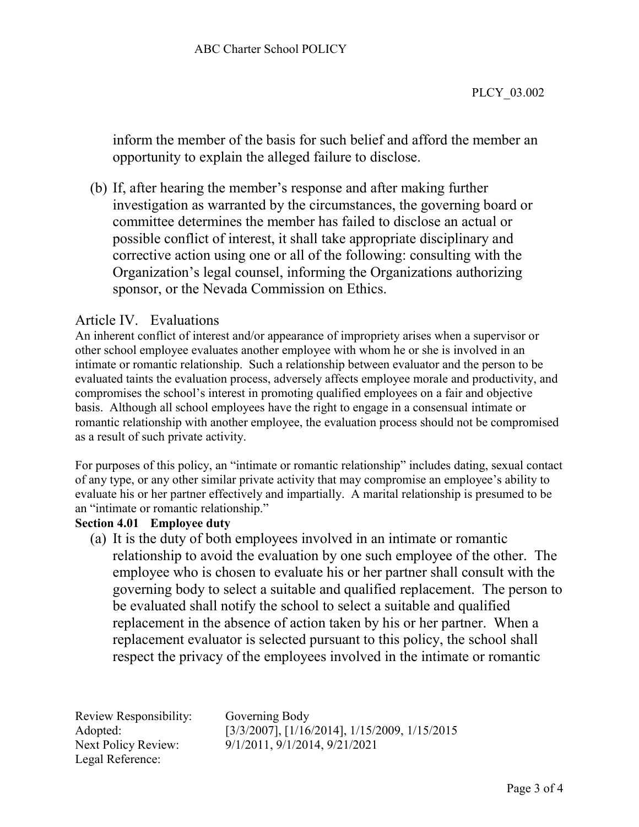inform the member of the basis for such belief and afford the member an opportunity to explain the alleged failure to disclose.

(b) If, after hearing the member's response and after making further investigation as warranted by the circumstances, the governing board or committee determines the member has failed to disclose an actual or possible conflict of interest, it shall take appropriate disciplinary and corrective action using one or all of the following: consulting with the Organization's legal counsel, informing the Organizations authorizing sponsor, or the Nevada Commission on Ethics.

# Article IV. Evaluations

An inherent conflict of interest and/or appearance of impropriety arises when a supervisor or other school employee evaluates another employee with whom he or she is involved in an intimate or romantic relationship. Such a relationship between evaluator and the person to be evaluated taints the evaluation process, adversely affects employee morale and productivity, and compromises the school's interest in promoting qualified employees on a fair and objective basis. Although all school employees have the right to engage in a consensual intimate or romantic relationship with another employee, the evaluation process should not be compromised as a result of such private activity.

For purposes of this policy, an "intimate or romantic relationship" includes dating, sexual contact of any type, or any other similar private activity that may compromise an employee's ability to evaluate his or her partner effectively and impartially. A marital relationship is presumed to be an "intimate or romantic relationship."

### **Section 4.01 Employee duty**

(a) It is the duty of both employees involved in an intimate or romantic relationship to avoid the evaluation by one such employee of the other. The employee who is chosen to evaluate his or her partner shall consult with the governing body to select a suitable and qualified replacement. The person to be evaluated shall notify the school to select a suitable and qualified replacement in the absence of action taken by his or her partner. When a replacement evaluator is selected pursuant to this policy, the school shall respect the privacy of the employees involved in the intimate or romantic

Review Responsibility: Governing Body Legal Reference:

Adopted: [3/3/2007], [1/16/2014], 1/15/2009, 1/15/2015 Next Policy Review: 9/1/2011, 9/1/2014, 9/21/2021